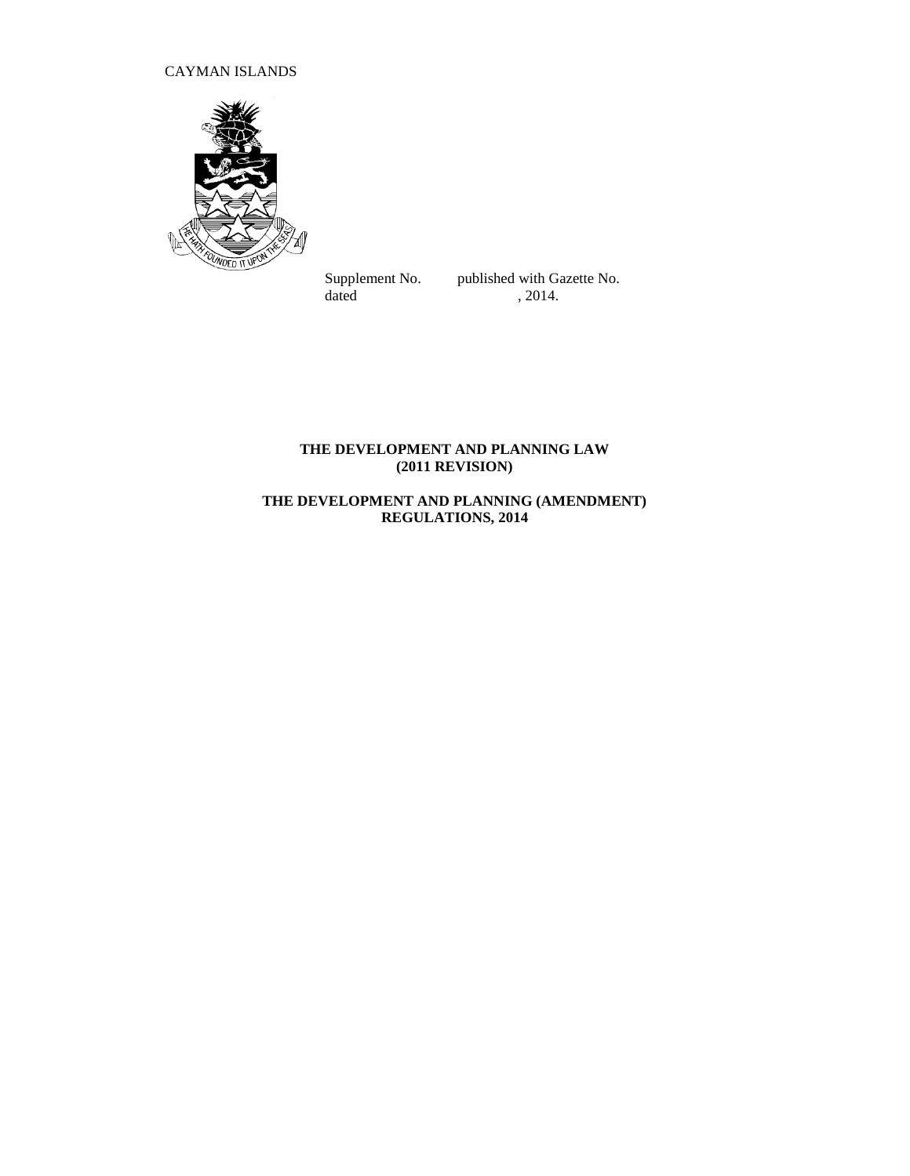# CAYMAN ISLANDS



Supplement No. published with Gazette No.<br>dated  $, 2014$ .  $, 2014.$ 

# **THE DEVELOPMENT AND PLANNING LAW (2011 REVISION)**

# **THE DEVELOPMENT AND PLANNING (AMENDMENT) REGULATIONS, 2014**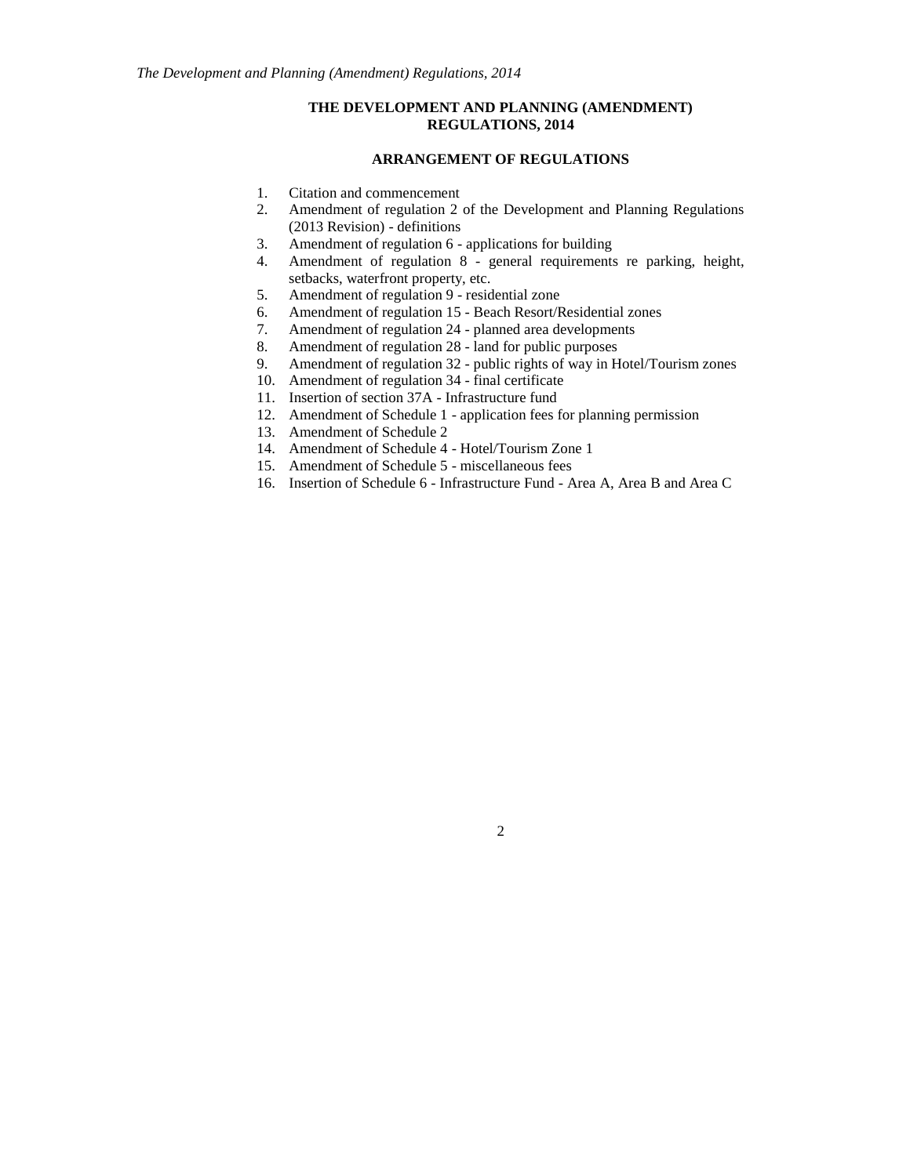## **THE DEVELOPMENT AND PLANNING (AMENDMENT) REGULATIONS, 2014**

## **ARRANGEMENT OF REGULATIONS**

- 1. Citation and commencement
- 2. Amendment of regulation 2 of the Development and Planning Regulations (2013 Revision) - definitions
- 3. Amendment of regulation 6 applications for building
- 4. Amendment of regulation 8 general requirements re parking, height, setbacks, waterfront property, etc.
- 5. Amendment of regulation 9 residential zone
- 6. Amendment of regulation 15 Beach Resort/Residential zones
- 7. Amendment of regulation 24 planned area developments
- 8. Amendment of regulation 28 land for public purposes
- 9. Amendment of regulation 32 public rights of way in Hotel/Tourism zones
- 10. Amendment of regulation 34 final certificate
- 11. Insertion of section 37A Infrastructure fund
- 12. Amendment of Schedule 1 application fees for planning permission
- 13. Amendment of Schedule 2
- 14. Amendment of Schedule 4 Hotel/Tourism Zone 1
- 15. Amendment of Schedule 5 miscellaneous fees
- 16. Insertion of Schedule 6 Infrastructure Fund Area A, Area B and Area C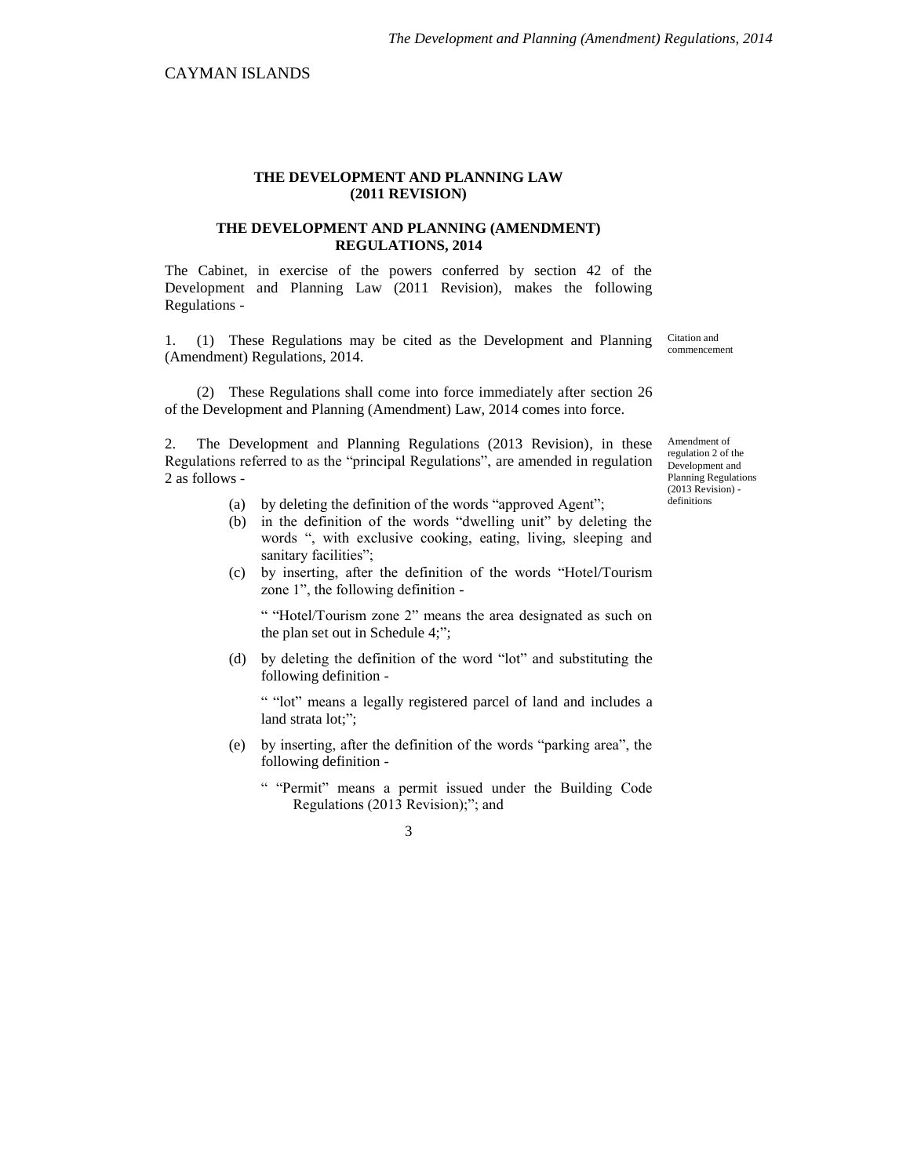## **THE DEVELOPMENT AND PLANNING LAW (2011 REVISION)**

## **THE DEVELOPMENT AND PLANNING (AMENDMENT) REGULATIONS, 2014**

The Cabinet, in exercise of the powers conferred by section 42 of the Development and Planning Law (2011 Revision), makes the following Regulations -

1. (1) These Regulations may be cited as the Development and Planning (Amendment) Regulations, 2014.

Citation and commencement

(2) These Regulations shall come into force immediately after section 26 of the Development and Planning (Amendment) Law, 2014 comes into force.

2. The Development and Planning Regulations (2013 Revision), in these Regulations referred to as the "principal Regulations", are amended in regulation 2 as follows -

- (a) by deleting the definition of the words "approved Agent";
- (b) in the definition of the words "dwelling unit" by deleting the words ", with exclusive cooking, eating, living, sleeping and sanitary facilities";
- (c) by inserting, after the definition of the words "Hotel/Tourism zone 1", the following definition -

" "Hotel/Tourism zone 2" means the area designated as such on the plan set out in Schedule 4;";

(d) by deleting the definition of the word "lot" and substituting the following definition -

" "lot" means a legally registered parcel of land and includes a land strata lot;";

- (e) by inserting, after the definition of the words "parking area", the following definition -
	- " "Permit" means a permit issued under the Building Code Regulations (2013 Revision);"; and

3

Amendment of regulation 2 of the Development and Planning Regulations (2013 Revision) definitions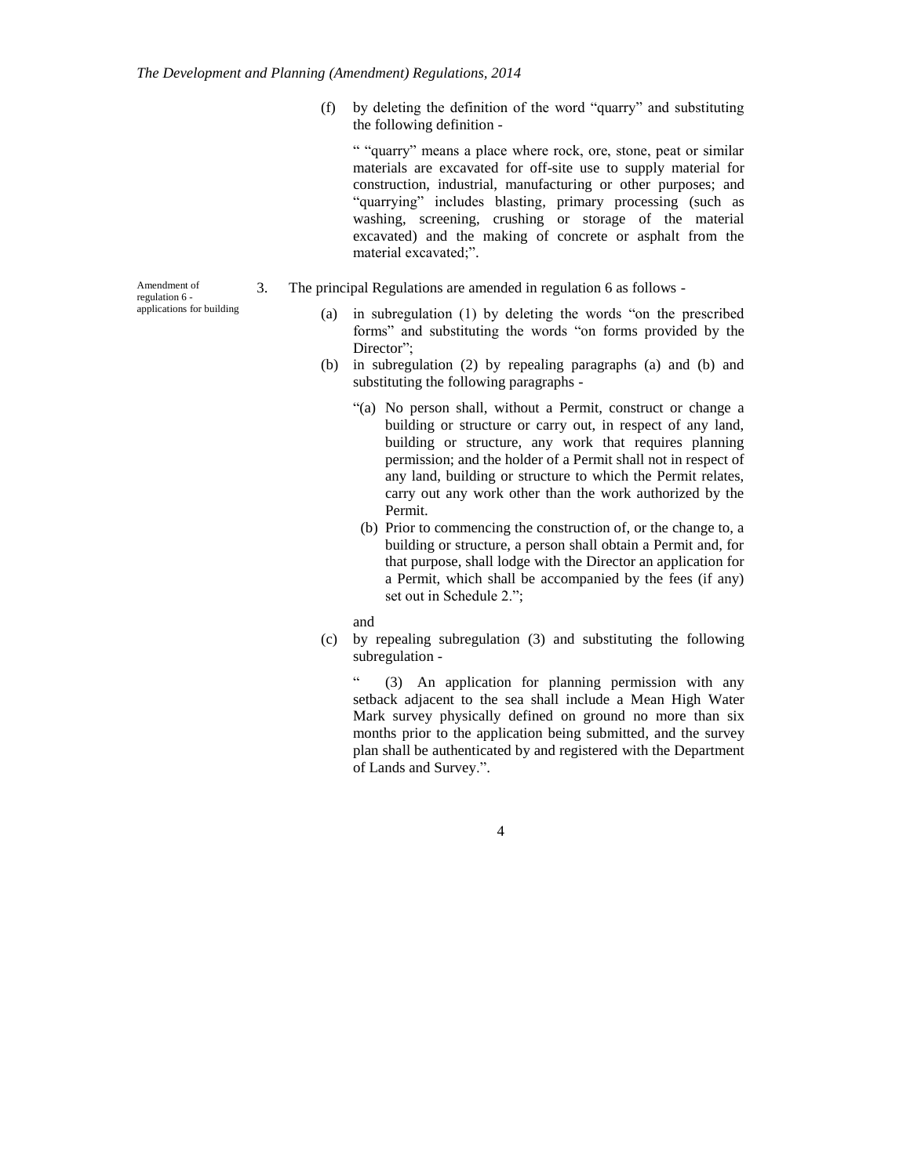(f) by deleting the definition of the word "quarry" and substituting the following definition -

" "quarry" means a place where rock, ore, stone, peat or similar materials are excavated for off-site use to supply material for construction, industrial, manufacturing or other purposes; and "quarrying" includes blasting, primary processing (such as washing, screening, crushing or storage of the material excavated) and the making of concrete or asphalt from the material excavated;".

- 3. The principal Regulations are amended in regulation 6 as follows
	- (a) in subregulation (1) by deleting the words "on the prescribed forms" and substituting the words "on forms provided by the Director":
	- (b) in subregulation (2) by repealing paragraphs (a) and (b) and substituting the following paragraphs -
		- "(a) No person shall, without a Permit, construct or change a building or structure or carry out, in respect of any land, building or structure, any work that requires planning permission; and the holder of a Permit shall not in respect of any land, building or structure to which the Permit relates, carry out any work other than the work authorized by the Permit.
		- (b) Prior to commencing the construction of, or the change to, a building or structure, a person shall obtain a Permit and, for that purpose, shall lodge with the Director an application for a Permit, which shall be accompanied by the fees (if any) set out in Schedule 2.";
		- and
	- (c) by repealing subregulation (3) and substituting the following subregulation -

(3) An application for planning permission with any setback adjacent to the sea shall include a Mean High Water Mark survey physically defined on ground no more than six months prior to the application being submitted, and the survey plan shall be authenticated by and registered with the Department of Lands and Survey.".

4

Amendment of regulation 6 applications for building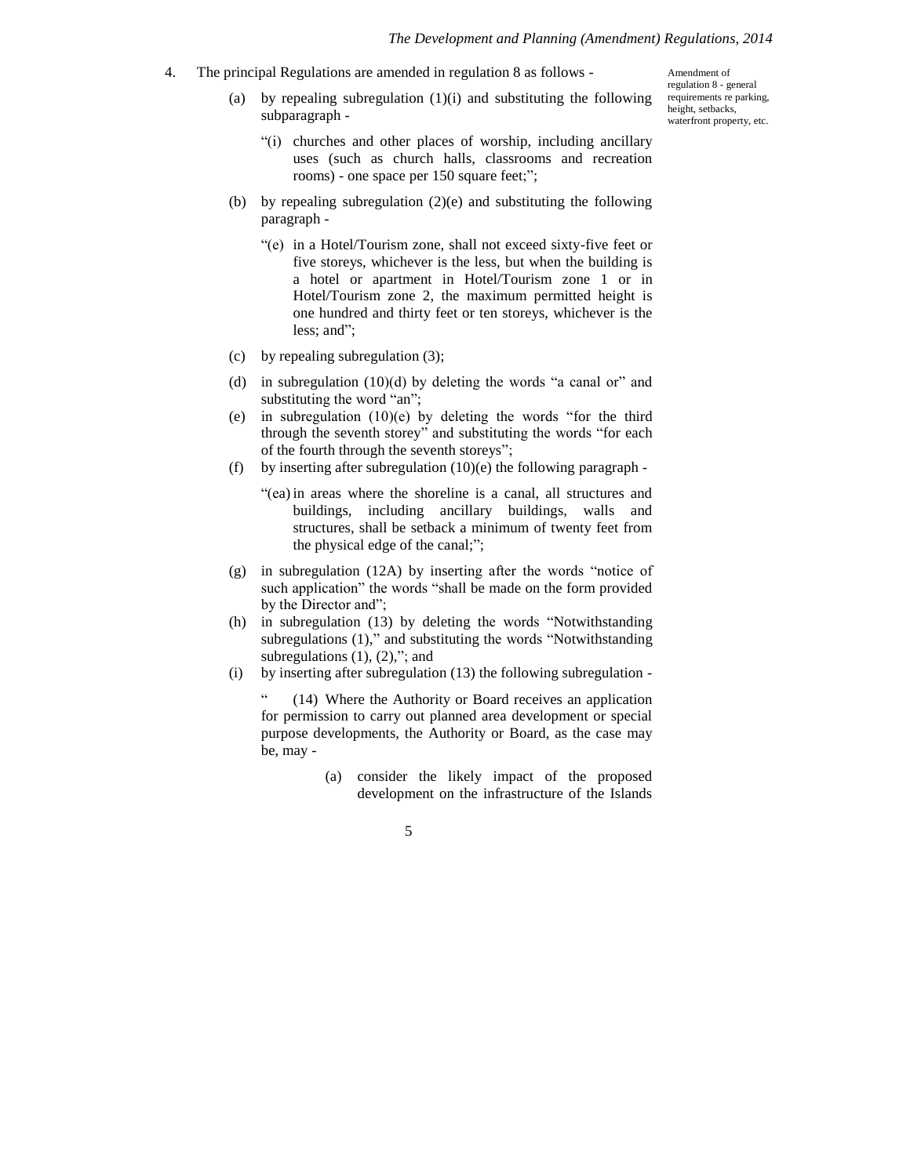Amendment of regulation 8 - general requirements re parking, height, setbacks, waterfront property, etc.

- 4. The principal Regulations are amended in regulation 8 as follows
	- (a) by repealing subregulation  $(1)(i)$  and substituting the following subparagraph -
		- "(i) churches and other places of worship, including ancillary uses (such as church halls, classrooms and recreation rooms) - one space per 150 square feet;";
	- (b) by repealing subregulation (2)(e) and substituting the following paragraph -
		- "(e) in a Hotel/Tourism zone, shall not exceed sixty-five feet or five storeys, whichever is the less, but when the building is a hotel or apartment in Hotel/Tourism zone 1 or in Hotel/Tourism zone 2, the maximum permitted height is one hundred and thirty feet or ten storeys, whichever is the less; and";
	- (c) by repealing subregulation (3);
	- (d) in subregulation  $(10)(d)$  by deleting the words "a canal or" and substituting the word "an";
	- (e) in subregulation (10)(e) by deleting the words "for the third through the seventh storey" and substituting the words "for each of the fourth through the seventh storeys";
	- (f) by inserting after subregulation  $(10)(e)$  the following paragraph -
		- "(ea) in areas where the shoreline is a canal, all structures and buildings, including ancillary buildings, walls and structures, shall be setback a minimum of twenty feet from the physical edge of the canal;";
	- (g) in subregulation (12A) by inserting after the words "notice of such application" the words "shall be made on the form provided by the Director and";
	- (h) in subregulation (13) by deleting the words "Notwithstanding subregulations (1)," and substituting the words "Notwithstanding subregulations  $(1)$ ,  $(2)$ ,"; and
	- (i) by inserting after subregulation (13) the following subregulation -

(14) Where the Authority or Board receives an application for permission to carry out planned area development or special purpose developments, the Authority or Board, as the case may be, may -

> (a) consider the likely impact of the proposed development on the infrastructure of the Islands

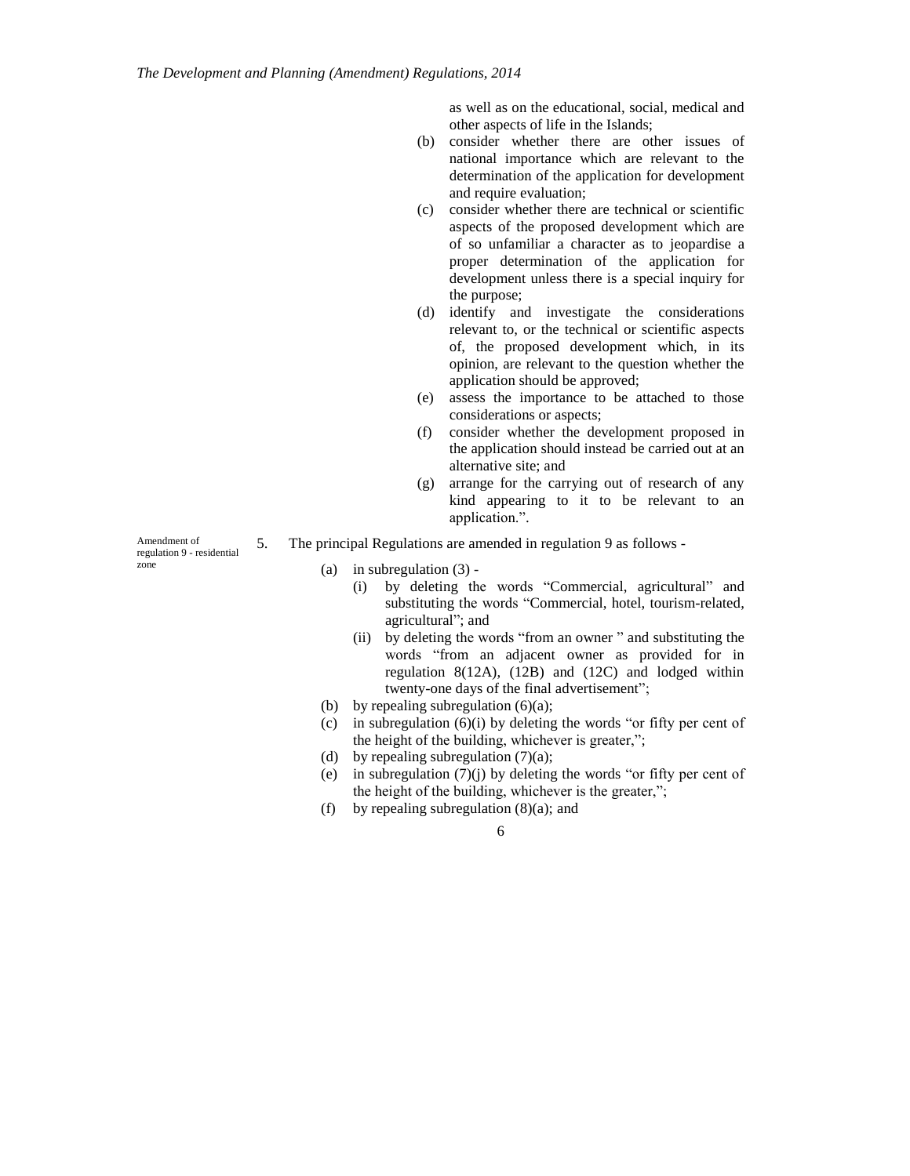as well as on the educational, social, medical and other aspects of life in the Islands;

- (b) consider whether there are other issues of national importance which are relevant to the determination of the application for development and require evaluation;
- (c) consider whether there are technical or scientific aspects of the proposed development which are of so unfamiliar a character as to jeopardise a proper determination of the application for development unless there is a special inquiry for the purpose;
- (d) identify and investigate the considerations relevant to, or the technical or scientific aspects of, the proposed development which, in its opinion, are relevant to the question whether the application should be approved;
- (e) assess the importance to be attached to those considerations or aspects;
- (f) consider whether the development proposed in the application should instead be carried out at an alternative site; and
- (g) arrange for the carrying out of research of any kind appearing to it to be relevant to an application.".
- 5. The principal Regulations are amended in regulation 9 as follows
	- (a) in subregulation (3)
		- (i) by deleting the words "Commercial, agricultural" and substituting the words "Commercial, hotel, tourism-related, agricultural"; and
		- (ii) by deleting the words "from an owner " and substituting the words "from an adjacent owner as provided for in regulation 8(12A), (12B) and (12C) and lodged within twenty-one days of the final advertisement";
	- (b) by repealing subregulation  $(6)(a)$ ;
	- (c) in subregulation  $(6)(i)$  by deleting the words "or fifty per cent of the height of the building, whichever is greater,";
	- (d) by repealing subregulation  $(7)(a)$ ;
	- (e) in subregulation (7)(j) by deleting the words "or fifty per cent of the height of the building, whichever is the greater,";
	- (f) by repealing subregulation  $(8)(a)$ ; and

6

Amendment of regulation 9 - residential zone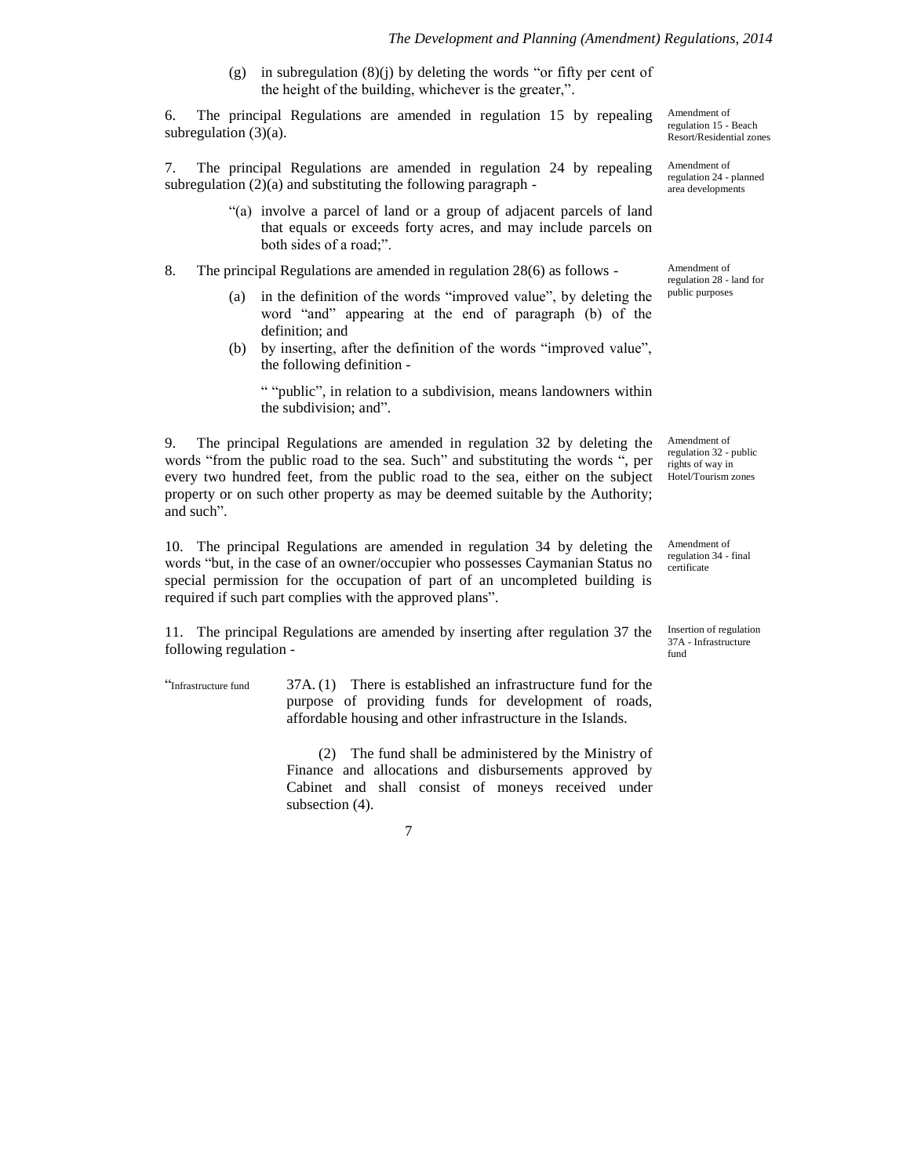(g) in subregulation  $(8)(j)$  by deleting the words "or fifty per cent of the height of the building, whichever is the greater,".

6. The principal Regulations are amended in regulation 15 by repealing subregulation (3)(a).

7. The principal Regulations are amended in regulation 24 by repealing subregulation (2)(a) and substituting the following paragraph -

- "(a) involve a parcel of land or a group of adjacent parcels of land that equals or exceeds forty acres, and may include parcels on both sides of a road;".
- 8. The principal Regulations are amended in regulation 28(6) as follows
	- (a) in the definition of the words "improved value", by deleting the word "and" appearing at the end of paragraph (b) of the definition; and
	- (b) by inserting, after the definition of the words "improved value", the following definition -

" "public", in relation to a subdivision, means landowners within the subdivision; and".

9. The principal Regulations are amended in regulation 32 by deleting the words "from the public road to the sea. Such" and substituting the words ", per every two hundred feet, from the public road to the sea, either on the subject property or on such other property as may be deemed suitable by the Authority; and such".

10. The principal Regulations are amended in regulation 34 by deleting the words "but, in the case of an owner/occupier who possesses Caymanian Status no special permission for the occupation of part of an uncompleted building is required if such part complies with the approved plans".

11. The principal Regulations are amended by inserting after regulation 37 the following regulation -

"Infrastructure fund  $37A$ . (1) There is established an infrastructure fund for the purpose of providing funds for development of roads, affordable housing and other infrastructure in the Islands.

> (2) The fund shall be administered by the Ministry of Finance and allocations and disbursements approved by Cabinet and shall consist of moneys received under subsection (4).

> > 7

Amendment of regulation 15 - Beach Resort/Residential zones

Amendment of regulation 24 - planned area developments

Amendment of regulation 28 - land for public purposes

Amendment of regulation 32 - public rights of way in Hotel/Tourism zones

Amendment of regulation 34 - final certificate

Insertion of regulation 37A - Infrastructure fund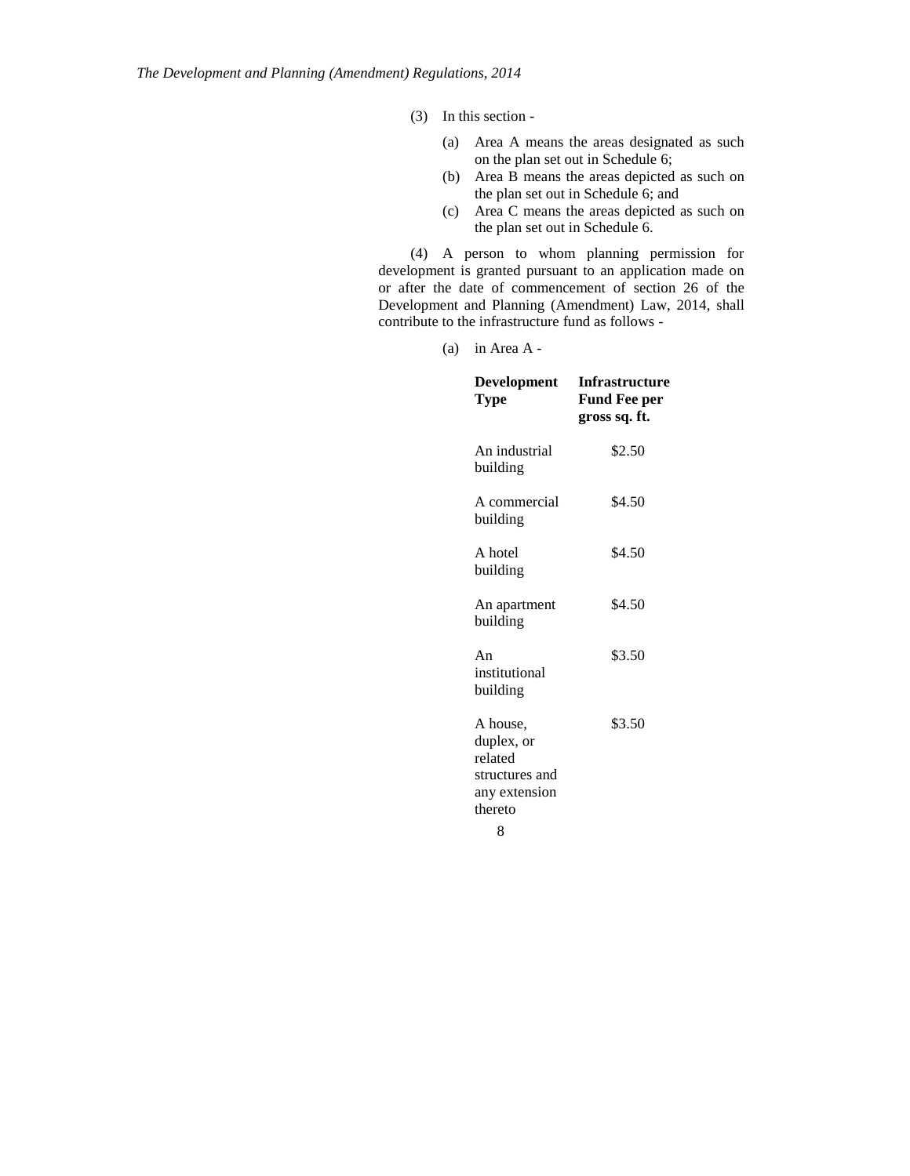(3) In this section -

- (a) Area A means the areas designated as such on the plan set out in Schedule 6;
- (b) Area B means the areas depicted as such on the plan set out in Schedule 6; and
- (c) Area C means the areas depicted as such on the plan set out in Schedule 6.

(4) A person to whom planning permission for development is granted pursuant to an application made on or after the date of commencement of section 26 of the Development and Planning (Amendment) Law, 2014, shall contribute to the infrastructure fund as follows -

(a) in Area A -

| Development<br>Type                                                             | <b>Infrastructure</b><br><b>Fund Fee per</b><br>gross sq. ft. |
|---------------------------------------------------------------------------------|---------------------------------------------------------------|
| An industrial<br>building                                                       | \$2.50                                                        |
| A commercial<br>building                                                        | \$4.50                                                        |
| A hotel<br>building                                                             | \$4.50                                                        |
| An apartment<br>building                                                        | \$4.50                                                        |
| An<br>institutional<br>building                                                 | \$3.50                                                        |
| A house.<br>duplex, or<br>related<br>structures and<br>any extension<br>thereto | \$3.50                                                        |
| 8                                                                               |                                                               |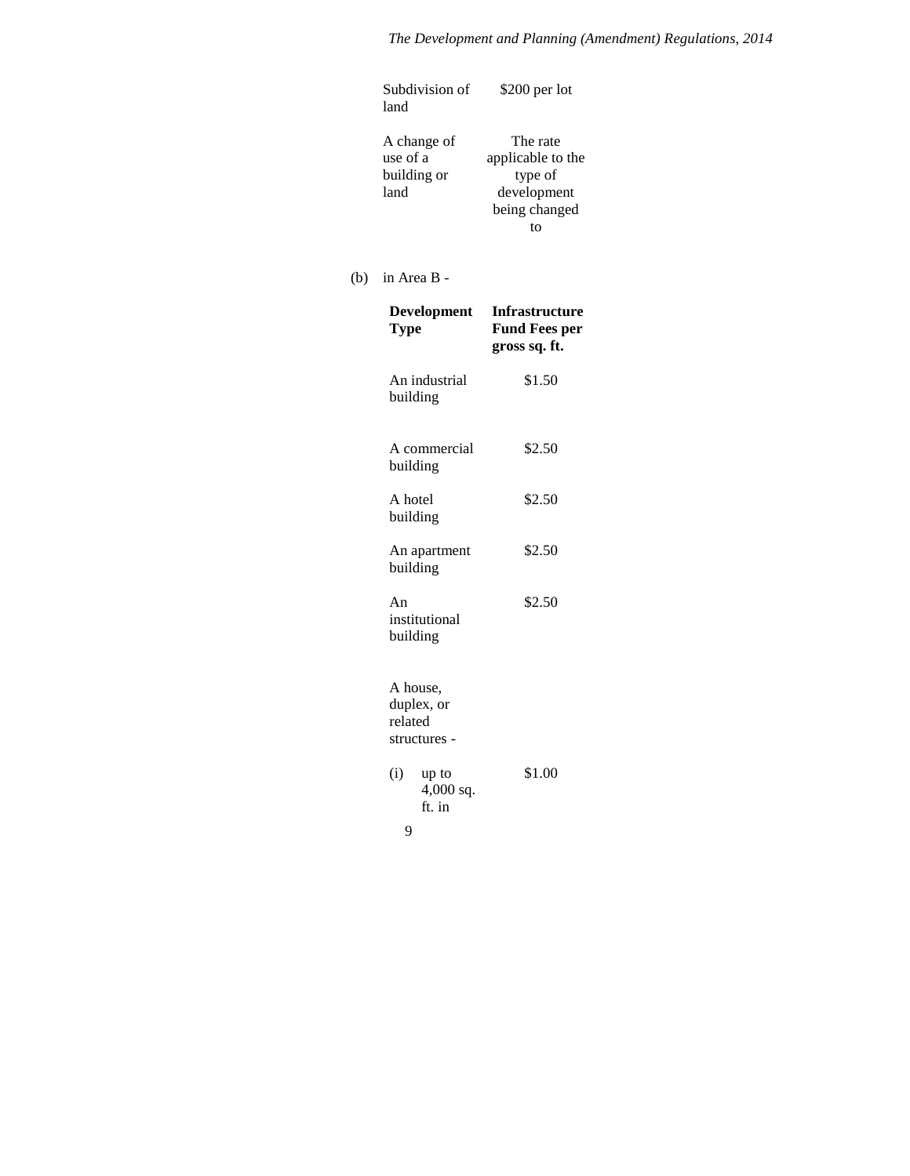| Subdivision of<br>land                         | $$200$ per lot                                                                           |
|------------------------------------------------|------------------------------------------------------------------------------------------|
| A change of<br>use of a<br>building or<br>land | The rate<br>applicable to the<br>type of<br>development<br>being changed<br>$f_{\Omega}$ |
| in Area B -                                    |                                                                                          |
| <b>Development</b><br><b>Type</b>              | Infrastructure<br><b>Fund Fees per</b><br>gross sq. ft.                                  |
| An industrial<br>building                      | \$1.50                                                                                   |
| A commercial<br>building                       | \$2.50                                                                                   |
| A hotel<br>building                            | \$2.50                                                                                   |
| An apartment<br>building                       | \$2.50                                                                                   |
| An<br>institutional<br>building                | \$2.50                                                                                   |
| A house,<br>duplex, or<br>related              |                                                                                          |

 $(b)$ 

| (i) | up to<br>$4,000$ sq.<br>ft. in | \$1.00 |
|-----|--------------------------------|--------|
| q   |                                |        |

structures -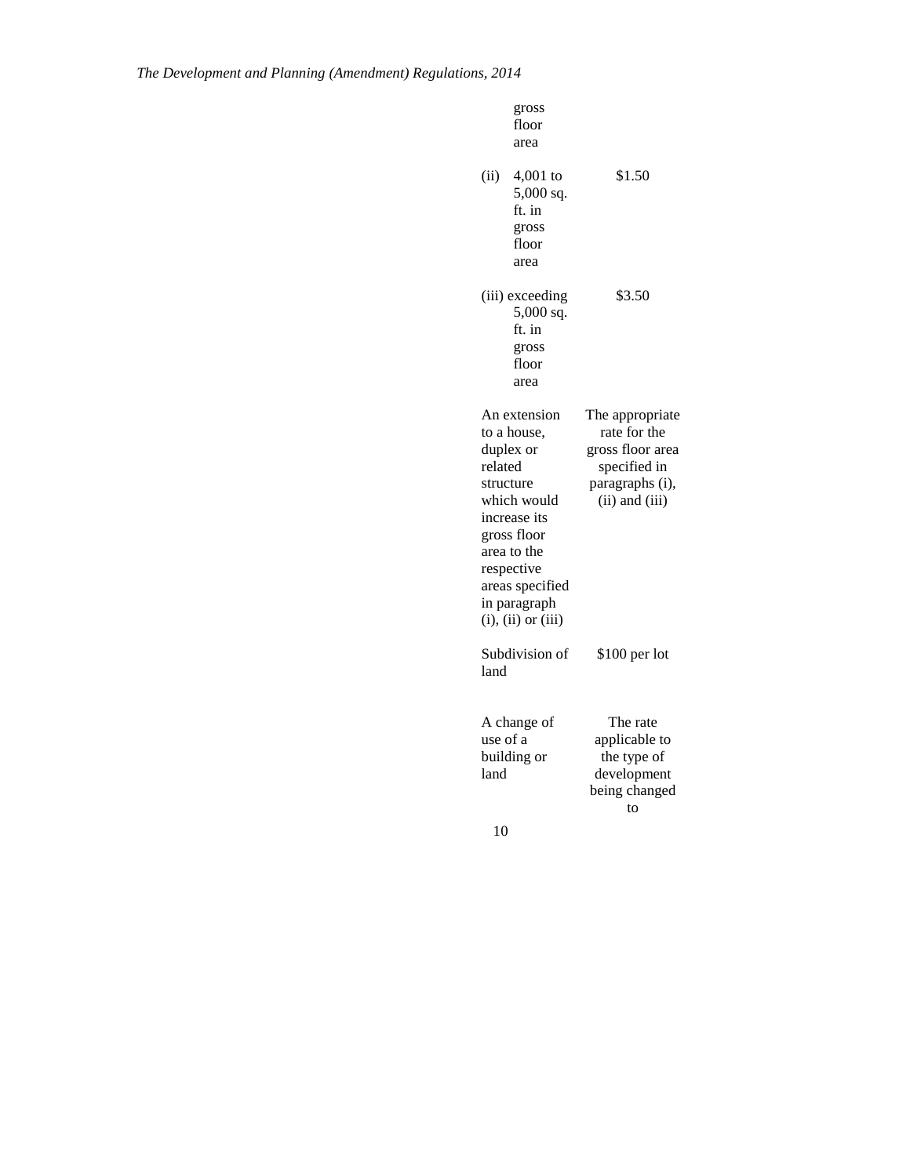|                  | gross<br>floor<br>area                                                                                                                                                                           |                                                                                                              |
|------------------|--------------------------------------------------------------------------------------------------------------------------------------------------------------------------------------------------|--------------------------------------------------------------------------------------------------------------|
| (ii)             | $4,001$ to<br>5,000 sq.<br>ft. in<br>gross<br>floor<br>area                                                                                                                                      | \$1.50                                                                                                       |
|                  | (iii) exceeding<br>$5,000$ sq.<br>ft. in<br>gross<br>floor<br>area                                                                                                                               | \$3.50                                                                                                       |
| related          | An extension<br>to a house,<br>duplex or<br>structure<br>which would<br>increase its<br>gross floor<br>area to the<br>respective<br>areas specified<br>in paragraph<br>$(i)$ , $(ii)$ or $(iii)$ | The appropriate<br>rate for the<br>gross floor area<br>specified in<br>paragraphs (i),<br>$(ii)$ and $(iii)$ |
| land             | Subdivision of                                                                                                                                                                                   | \$100 per lot                                                                                                |
| use of a<br>land | A change of<br>building or                                                                                                                                                                       | The rate<br>applicable to<br>the type of<br>development<br>being changed<br>to                               |
| 10               |                                                                                                                                                                                                  |                                                                                                              |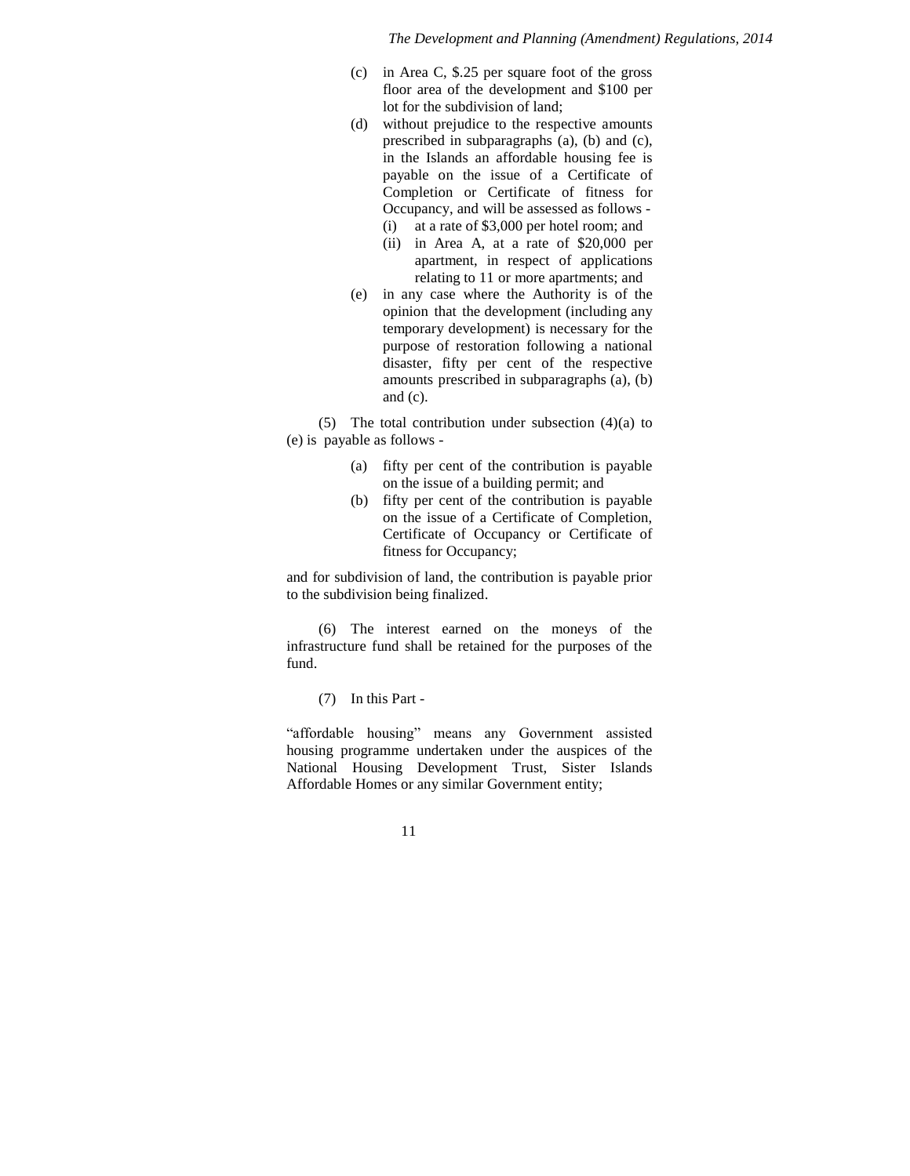- (c) in Area C, \$.25 per square foot of the gross floor area of the development and \$100 per lot for the subdivision of land;
- (d) without prejudice to the respective amounts prescribed in subparagraphs (a), (b) and (c), in the Islands an affordable housing fee is payable on the issue of a Certificate of Completion or Certificate of fitness for Occupancy, and will be assessed as follows -
	- (i) at a rate of \$3,000 per hotel room; and
	- (ii) in Area A, at a rate of \$20,000 per apartment, in respect of applications relating to 11 or more apartments; and
- (e) in any case where the Authority is of the opinion that the development (including any temporary development) is necessary for the purpose of restoration following a national disaster, fifty per cent of the respective amounts prescribed in subparagraphs (a), (b) and (c).

(5) The total contribution under subsection  $(4)(a)$  to (e) is payable as follows -

- (a) fifty per cent of the contribution is payable on the issue of a building permit; and
- (b) fifty per cent of the contribution is payable on the issue of a Certificate of Completion, Certificate of Occupancy or Certificate of fitness for Occupancy;

and for subdivision of land, the contribution is payable prior to the subdivision being finalized.

(6) The interest earned on the moneys of the infrastructure fund shall be retained for the purposes of the fund.

(7) In this Part -

"affordable housing" means any Government assisted housing programme undertaken under the auspices of the National Housing Development Trust, Sister Islands Affordable Homes or any similar Government entity;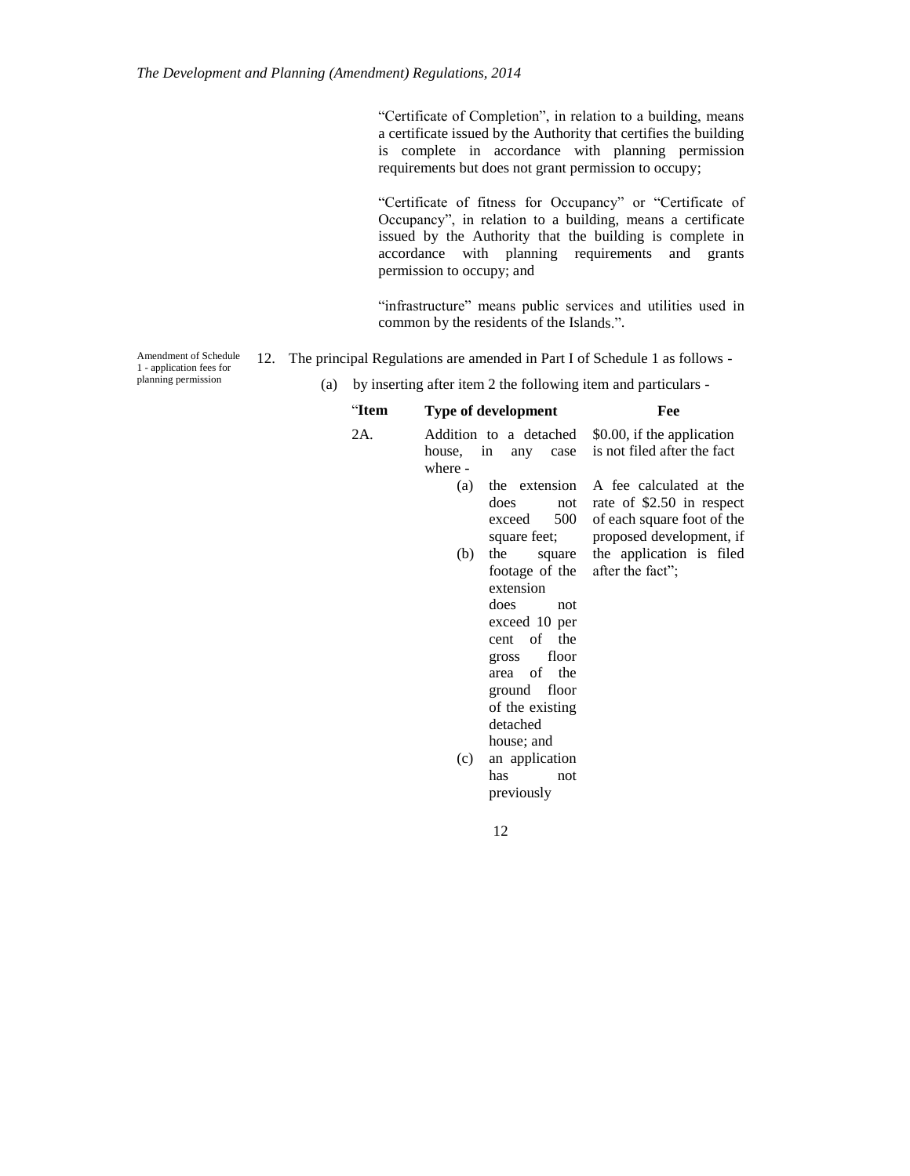"Certificate of Completion", in relation to a building, means a certificate issued by the Authority that certifies the building is complete in accordance with planning permission requirements but does not grant permission to occupy;

"Certificate of fitness for Occupancy" or "Certificate of Occupancy", in relation to a building, means a certificate issued by the Authority that the building is complete in accordance with planning requirements and grants permission to occupy; and

"infrastructure" means public services and utilities used in common by the residents of the Islands.".

Amendment of Schedule 1 - application fees for planning permission

- 12. The principal Regulations are amended in Part I of Schedule 1 as follows
	- (a) by inserting after item 2 the following item and particulars -

# "**Item Type of development Fee**

| 2A. |           |                                              | Addition to a detached \$0.00, if the application                                      |
|-----|-----------|----------------------------------------------|----------------------------------------------------------------------------------------|
|     | house, in |                                              | any case is not filed after the fact                                                   |
|     | where -   |                                              |                                                                                        |
|     | (a)       | the extension<br>does<br>not<br>exceed       | A fee calculated at the<br>rate of \$2.50 in respect<br>500 of each square foot of the |
|     |           | square feet;                                 | proposed development, if                                                               |
|     | (b)       | the                                          | square the application is filed                                                        |
|     |           | footage of the after the fact";<br>extension |                                                                                        |
|     |           | does<br>not                                  |                                                                                        |
|     |           | exceed 10 per                                |                                                                                        |
|     |           | cent of the                                  |                                                                                        |
|     |           | gross floor                                  |                                                                                        |
|     |           | area of the                                  |                                                                                        |
|     |           | ground floor                                 |                                                                                        |
|     |           | of the existing                              |                                                                                        |
|     |           | detached                                     |                                                                                        |
|     |           | house; and                                   |                                                                                        |
|     | (c)       | an application                               |                                                                                        |
|     |           | has<br>not                                   |                                                                                        |
|     |           | previously                                   |                                                                                        |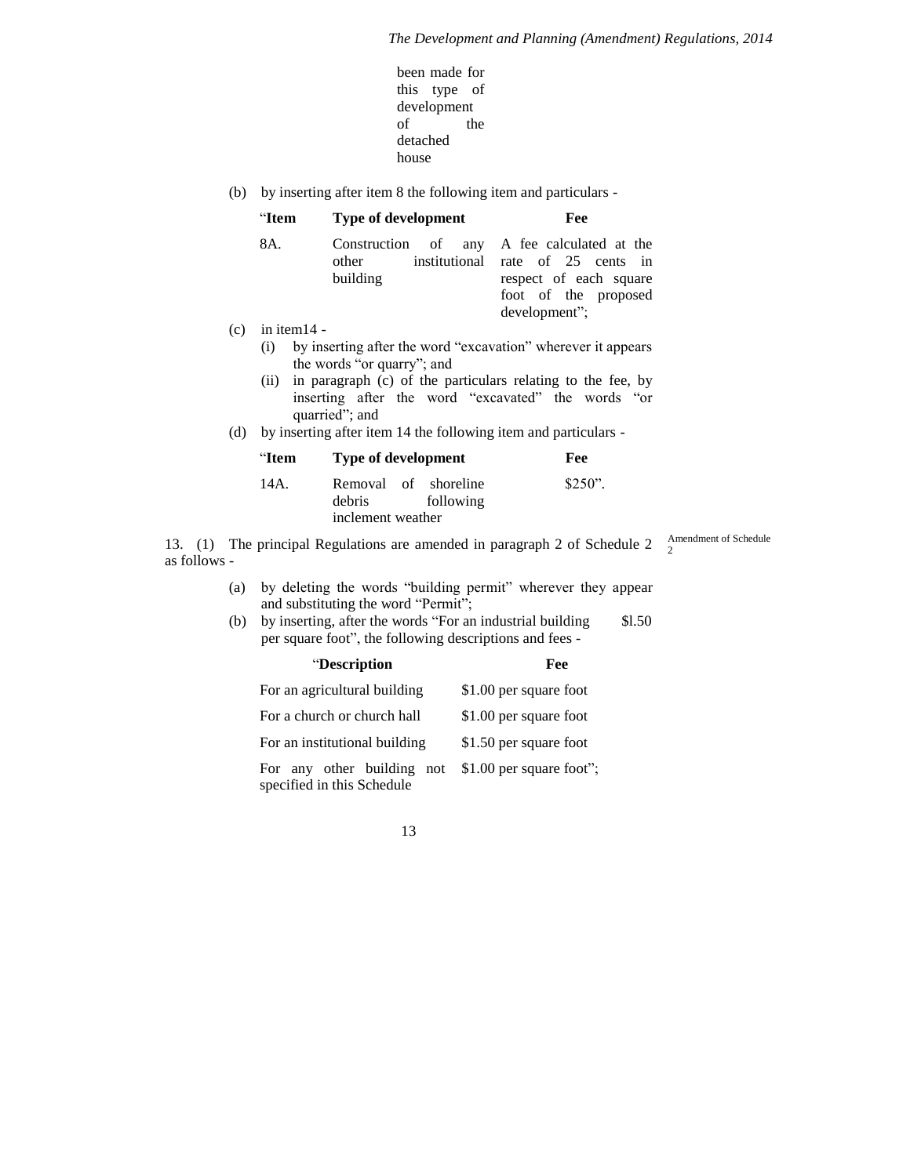Amendment of Schedule

2

- been made for this type of development of the detached house
- (b) by inserting after item 8 the following item and particulars -

|     | "Item          | <b>Type of development</b>                                                                                                          | Fee                                                                                                               |
|-----|----------------|-------------------------------------------------------------------------------------------------------------------------------------|-------------------------------------------------------------------------------------------------------------------|
|     | 8A.            | of<br>Construction<br>any<br>institutional<br>other<br>building                                                                     | A fee calculated at the<br>rate of 25 cents in<br>respect of each square<br>foot of the proposed<br>development"; |
| (c) | in item $14 -$ |                                                                                                                                     |                                                                                                                   |
|     | (i)            | by inserting after the word "excavation" wherever it appears<br>the words "or quarry"; and                                          |                                                                                                                   |
|     | (ii)           | in paragraph (c) of the particulars relating to the fee, by<br>inserting after the word "excavated" the words "or<br>quarried"; and |                                                                                                                   |

(d) by inserting after item 14 the following item and particulars -

| "Item | <b>Type of development</b>                                       | Fee       |
|-------|------------------------------------------------------------------|-----------|
| 14A.  | Removal of shoreline<br>debris<br>following<br>inclement weather | $$250$ ". |

13. (1) The principal Regulations are amended in paragraph 2 of Schedule 2 as follows -

- (a) by deleting the words "building permit" wherever they appear and substituting the word "Permit";
- (b) by inserting, after the words "For an industrial building  $$1.50$ per square foot", the following descriptions and fees -

| "Description                                             | Fee                      |
|----------------------------------------------------------|--------------------------|
| For an agricultural building                             | \$1.00 per square foot   |
| For a church or church hall                              | \$1.00 per square foot   |
| For an institutional building                            | \$1.50 per square foot   |
| For any other building not<br>specified in this Schedule | \$1.00 per square foot"; |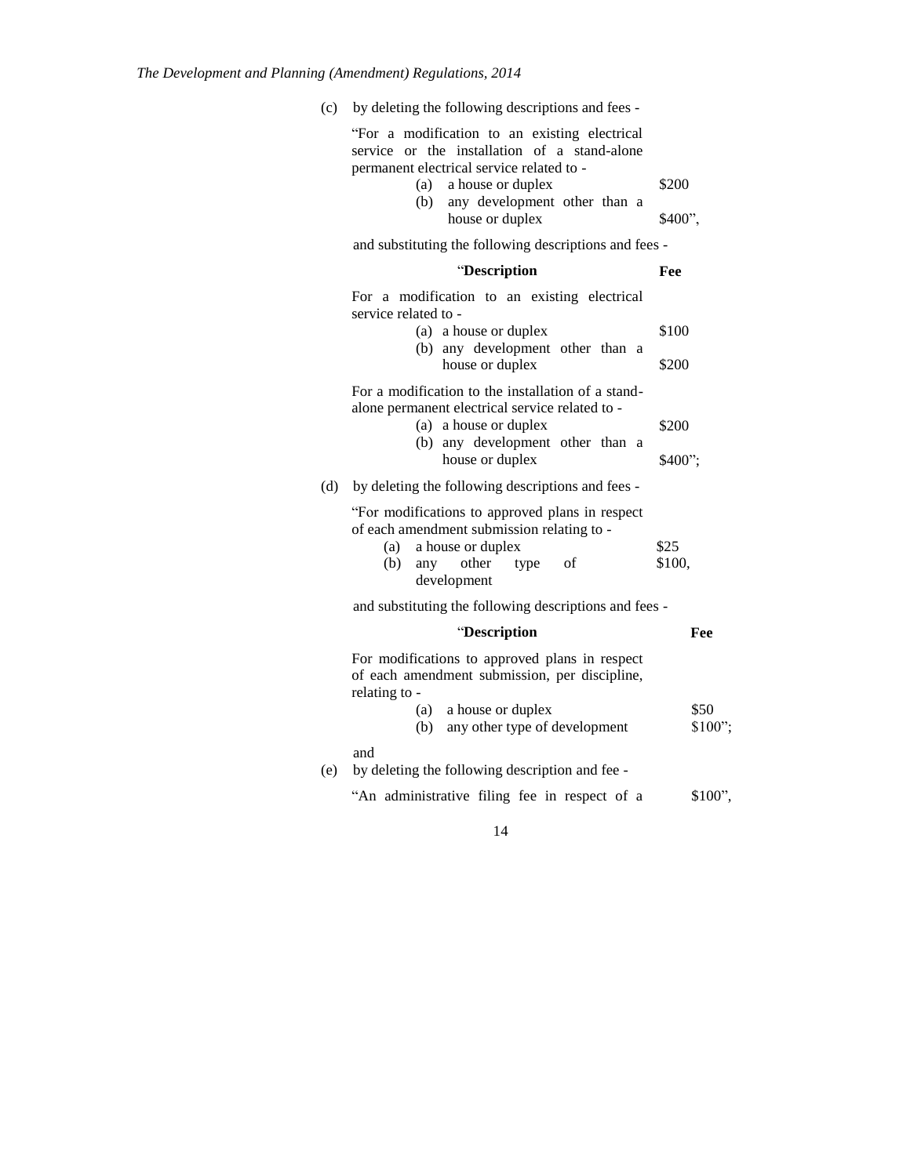(c) by deleting the following descriptions and fees -

| "For a modification to an existing electrical<br>service or the installation of a stand-alone<br>permanent electrical service related to -<br>a house or duplex<br>(a)<br>any development other than a<br>(b)<br>house or duplex | \$200<br>\$400",   |
|----------------------------------------------------------------------------------------------------------------------------------------------------------------------------------------------------------------------------------|--------------------|
| and substituting the following descriptions and fees -                                                                                                                                                                           |                    |
| "Description                                                                                                                                                                                                                     | Fee                |
| For a modification to an existing electrical<br>service related to -<br>(a) a house or duplex<br>(b) any development other than a<br>house or duplex                                                                             | \$100<br>\$200     |
| For a modification to the installation of a stand-<br>alone permanent electrical service related to -<br>(a) a house or duplex<br>(b) any development other than a<br>house or duplex                                            | \$200<br>$$400$ "; |
| (d)<br>by deleting the following descriptions and fees -                                                                                                                                                                         |                    |
| "For modifications to approved plans in respect<br>of each amendment submission relating to -<br>a house or duplex<br>(a)<br>(b)<br>any other<br>type<br>of<br>development                                                       | \$25<br>\$100,     |
| and substituting the following descriptions and fees -                                                                                                                                                                           |                    |
| "Description                                                                                                                                                                                                                     | Fee                |
| For modifications to approved plans in respect<br>of each amendment submission, per discipline,<br>relating to -<br>(a) a house or duplex<br>(b) any other type of development                                                   | \$50<br>\$100";    |
| and<br>by deleting the following description and fee -<br>(e)                                                                                                                                                                    |                    |
| "An administrative filing fee in respect of a                                                                                                                                                                                    | \$100",            |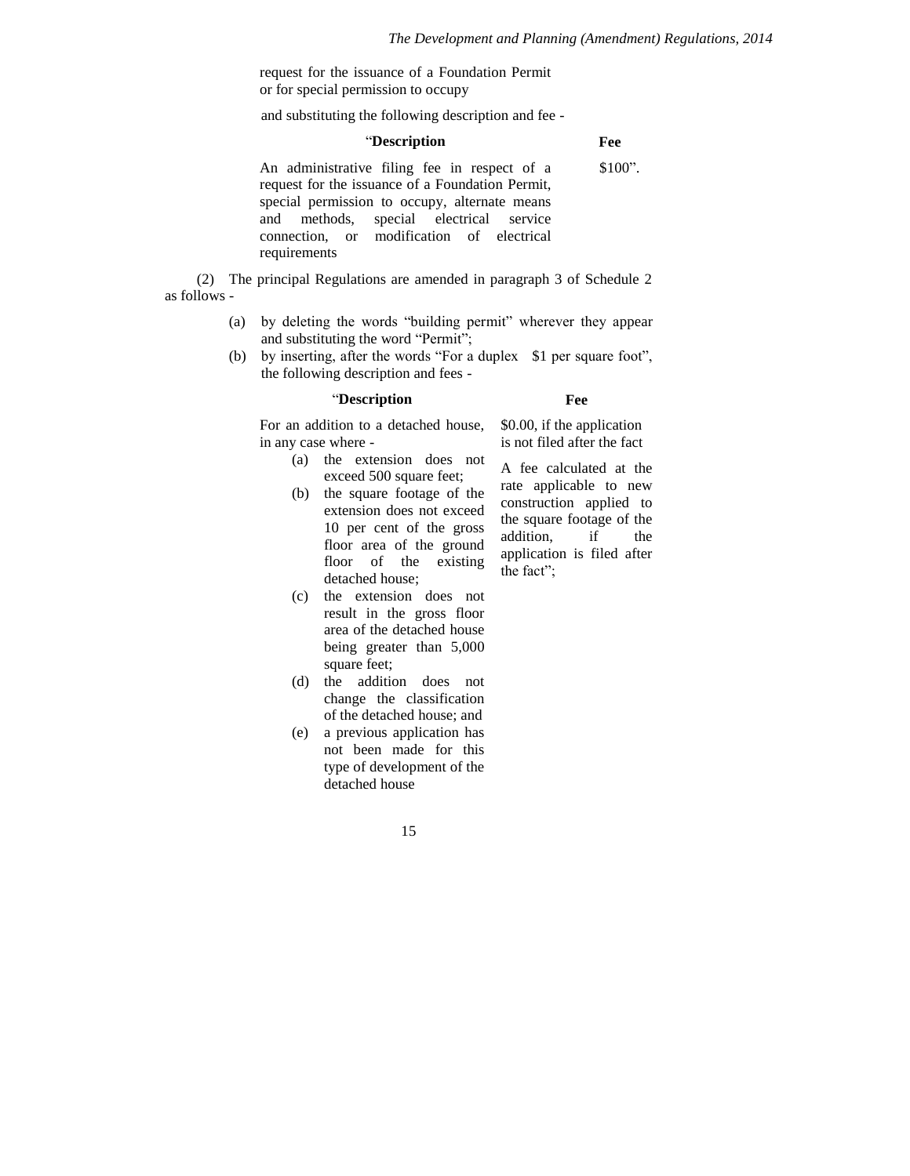request for the issuance of a Foundation Permit or for special permission to occupy

and substituting the following description and fee -

#### "**Description Fee**

An administrative filing fee in respect of a request for the issuance of a Foundation Permit, special permission to occupy, alternate means and methods, special electrical service connection, or modification of electrical requirements \$100".

(2) The principal Regulations are amended in paragraph 3 of Schedule 2 as follows -

- (a) by deleting the words "building permit" wherever they appear and substituting the word "Permit";
- (b) by inserting, after the words "For a duplex \$1 per square foot", the following description and fees -

## "**Description**

### **Fee**

\$0.00, if the application is not filed after the fact

For an addition to a detached house, in any case where -

- (a) the extension does not exceed 500 square feet;
- (b) the square footage of the extension does not exceed 10 per cent of the gross floor area of the ground floor of the existing detached house;

A fee calculated at the rate applicable to new construction applied to the square footage of the addition, if the application is filed after the fact";

- (c) the extension does not result in the gross floor area of the detached house being greater than 5,000 square feet;
- (d) the addition does not change the classification of the detached house; and
- (e) a previous application has not been made for this type of development of the detached house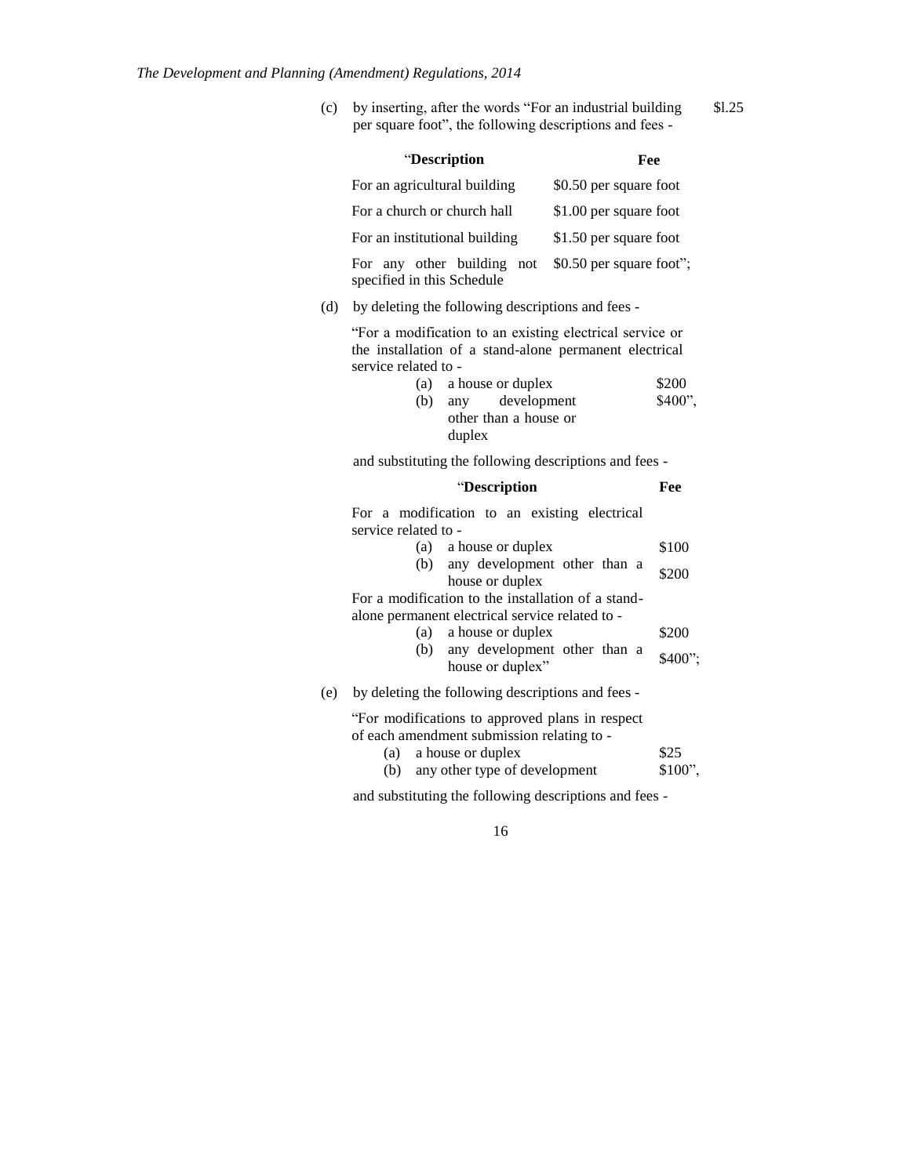(c) by inserting, after the words "For an industrial building \$l.25 per square foot", the following descriptions and fees -

|     | "Description                                                                                                                                                        | Fee                      |                   |
|-----|---------------------------------------------------------------------------------------------------------------------------------------------------------------------|--------------------------|-------------------|
|     | For an agricultural building                                                                                                                                        | \$0.50 per square foot   |                   |
|     | For a church or church hall                                                                                                                                         | \$1.00 per square foot   |                   |
|     | For an institutional building                                                                                                                                       | \$1.50 per square foot   |                   |
|     | For any other building<br>not<br>specified in this Schedule                                                                                                         | \$0.50 per square foot"; |                   |
| (d) | by deleting the following descriptions and fees -                                                                                                                   |                          |                   |
|     | "For a modification to an existing electrical service or<br>the installation of a stand-alone permanent electrical<br>service related to -<br>(a) a house or duplex |                          | \$200             |
|     | any development<br>(b)<br>other than a house or<br>duplex                                                                                                           |                          | \$400".           |
|     | and substituting the following descriptions and fees -                                                                                                              |                          |                   |
|     | "Description                                                                                                                                                        |                          | Fee               |
|     | For a modification to an existing electrical<br>service related to -                                                                                                |                          |                   |
|     | (a) a house or duplex                                                                                                                                               |                          | \$100             |
|     | any development other than a<br>(b)<br>house or duplex                                                                                                              |                          | \$200             |
|     | For a modification to the installation of a stand-<br>alone permanent electrical service related to -<br>a house or duplex<br>(a)                                   |                          | \$200             |
|     | any development other than a<br>(b)<br>house or duplex"                                                                                                             |                          | \$400";           |
| (e) | by deleting the following descriptions and fees -                                                                                                                   |                          |                   |
|     | "For modifications to approved plans in respect<br>of each amendment submission relating to -<br>a house or duplex<br>(a)<br>any other type of development<br>(b)   |                          | \$25<br>$$100$ ", |

and substituting the following descriptions and fees -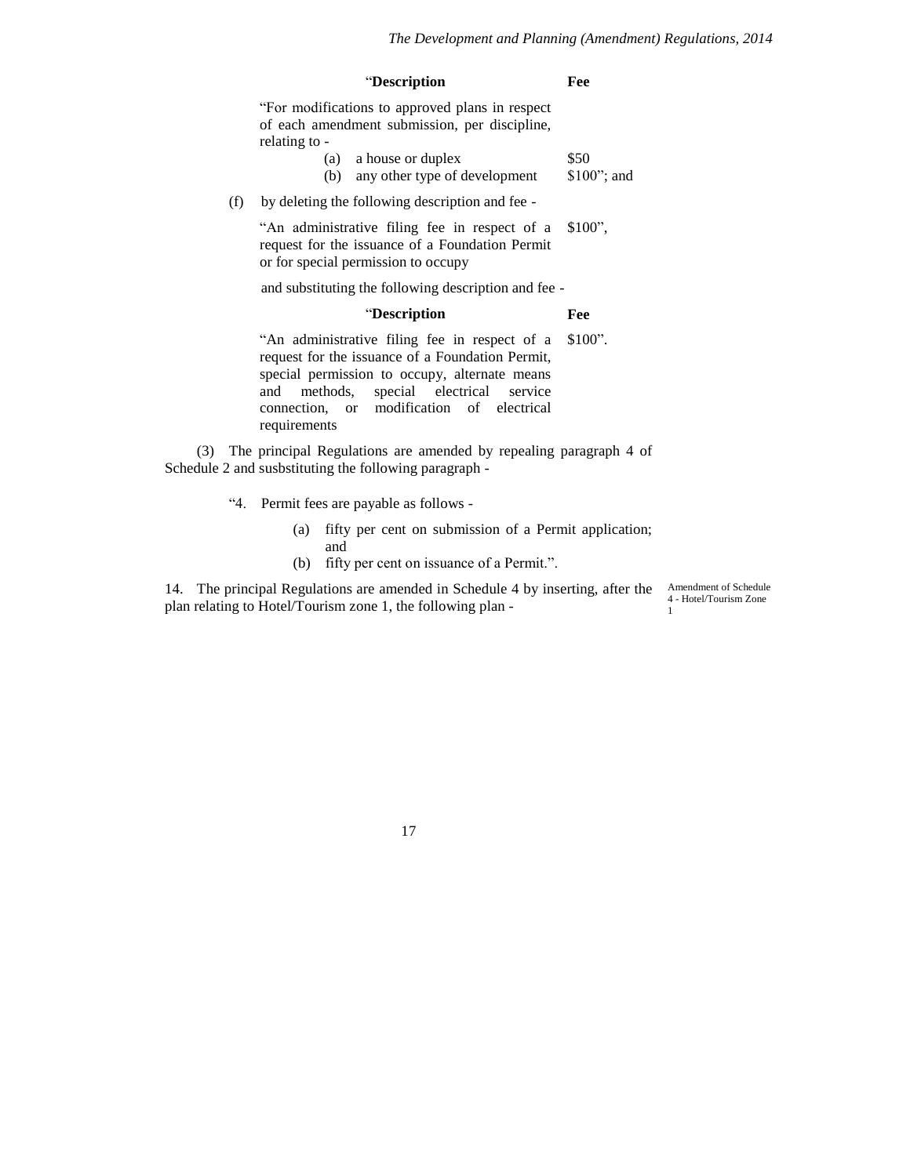| "Description | Fee |
|--------------|-----|
|--------------|-----|

"For modifications to approved plans in respect of each amendment submission, per discipline, relating to -

| (a) | a house or duplex             | \$50          |
|-----|-------------------------------|---------------|
| (b) | any other type of development | $$100$ "; and |

(f) by deleting the following description and fee -

"An administrative filing fee in respect of a request for the issuance of a Foundation Permit or for special permission to occupy \$100",

and substituting the following description and fee -

## "**Description Fee**

"An administrative filing fee in respect of a request for the issuance of a Foundation Permit, special permission to occupy, alternate means and methods, special electrical service connection, or modification of electrical requirements \$100".

(3) The principal Regulations are amended by repealing paragraph 4 of Schedule 2 and susbstituting the following paragraph -

- "4. Permit fees are payable as follows
	- (a) fifty per cent on submission of a Permit application; and
	- (b) fifty per cent on issuance of a Permit.".

14. The principal Regulations are amended in Schedule 4 by inserting, after the plan relating to Hotel/Tourism zone 1, the following plan -

Amendment of Schedule 4 - Hotel/Tourism Zone 1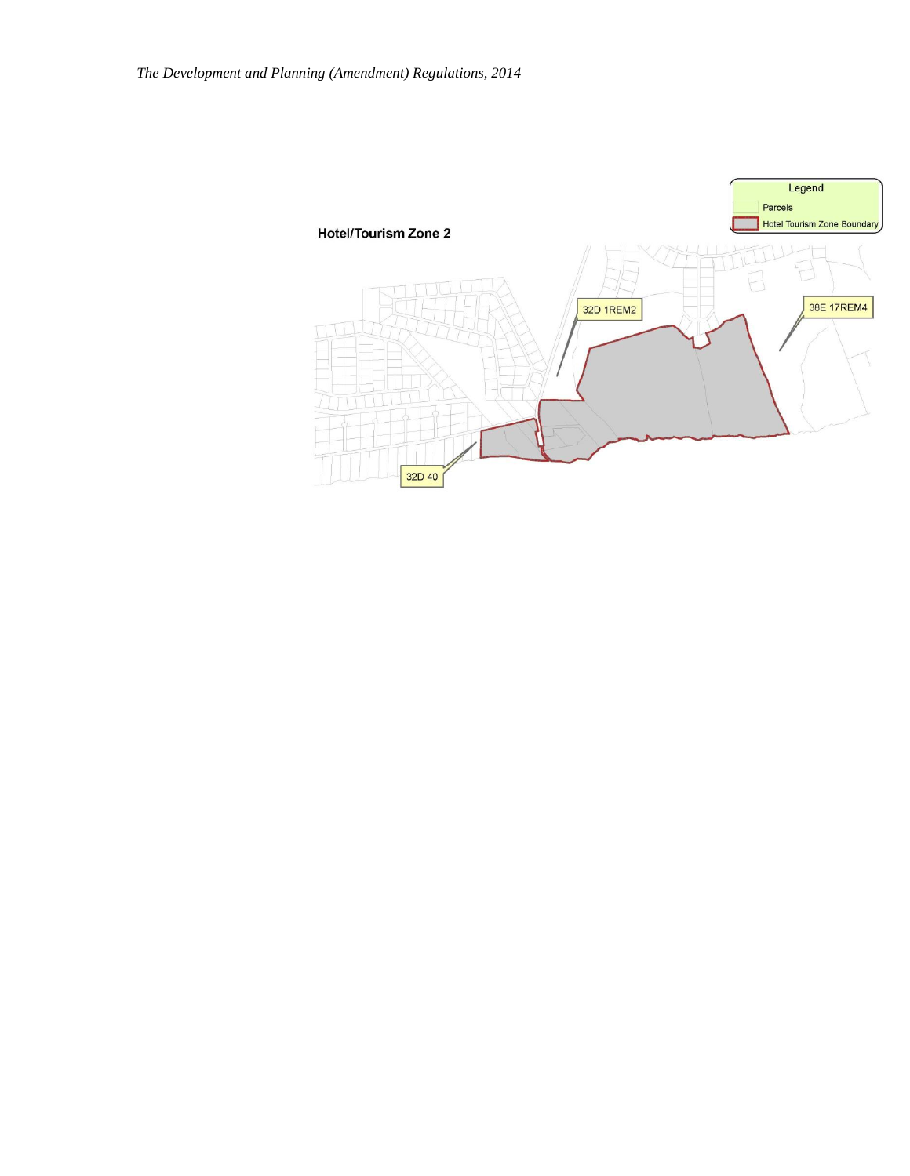